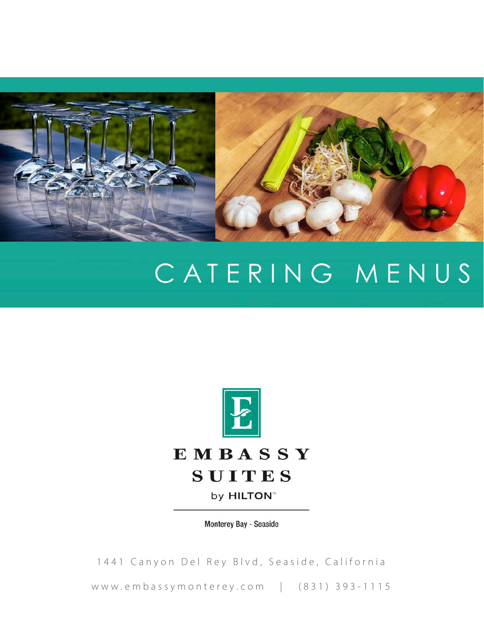

# CATERING MENUS



Monterey Bay - Seaside

1441 Canyon Del Rey Blvd, Seaside, California

www.embassymonterey.com | (831) 393-1115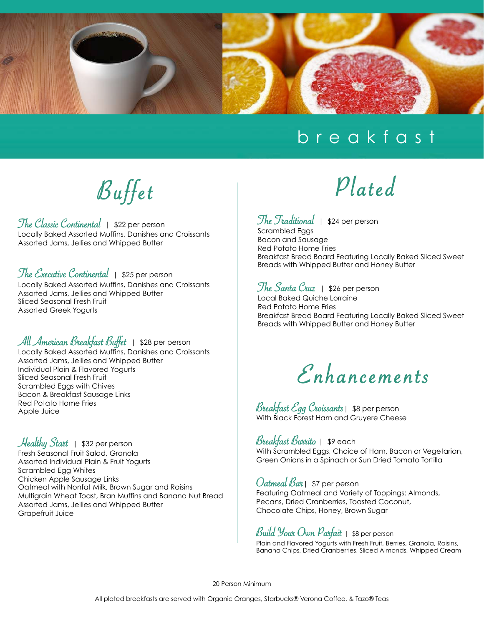

#### breakfast

Buffet

The Classic Continental | \$22 per person Locally Baked Assorted Muffins, Danishes and Croissants Assorted Jams, Jellies and Whipped Butter

#### The Executive Continental | \$25 per person

Locally Baked Assorted Muffins, Danishes and Croissants Assorted Jams, Jellies and Whipped Butter Sliced Seasonal Fresh Fruit Assorted Greek Yogurts

#### All American Breakfast Buffet | \$28 per person

Locally Baked Assorted Muffins, Danishes and Croissants Assorted Jams, Jellies and Whipped Butter Individual Plain & Flavored Yogurts Sliced Seasonal Fresh Fruit Scrambled Eggs with Chives Bacon & Breakfast Sausage Links Red Potato Home Fries Apple Juice

Healthy Start | \$32 per person Fresh Seasonal Fruit Salad, Granola Assorted Individual Plain & Fruit Yogurts Scrambled Egg Whites Chicken Apple Sausage Links Oatmeal with Nonfat Milk, Brown Sugar and Raisins Multigrain Wheat Toast, Bran Muffins and Banana Nut Bread Assorted Jams, Jellies and Whipped Butter Grapefruit Juice

# Plated

The Traditional  $|$  \$24 per person Scrambled Eggs Bacon and Sausage Red Potato Home Fries Breakfast Bread Board Featuring Locally Baked Sliced Sweet Breads with Whipped Butter and Honey Butter

The Santa Cruz | \$26 per person Local Baked Quiche Lorraine Red Potato Home Fries Breakfast Bread Board Featuring Locally Baked Sliced Sweet Breads with Whipped Butter and Honey Butter

Enhancements

Breakfast Egg Croissants| \$8 per person With Black Forest Ham and Gruyere Cheese

Breakfast Burrito | \$9 each With Scrambled Eggs, Choice of Ham, Bacon or Vegetarian, Green Onions in a Spinach or Sun Dried Tomato Tortilla

*Oatmeal Bar* | \$7 per person Featuring Oatmeal and Variety of Toppings: Almonds, Pecans, Dried Cranberries, Toasted Coconut, Chocolate Chips, Honey, Brown Sugar

#### Build Your Own Parfait  $\frac{1}{1}$  \$8 per person

Plain and Flavored Yogurts with Fresh Fruit, Berries, Granola, Raisins, Banana Chips, Dried Cranberries, Sliced Almonds, Whipped Cream

20 Person Minimum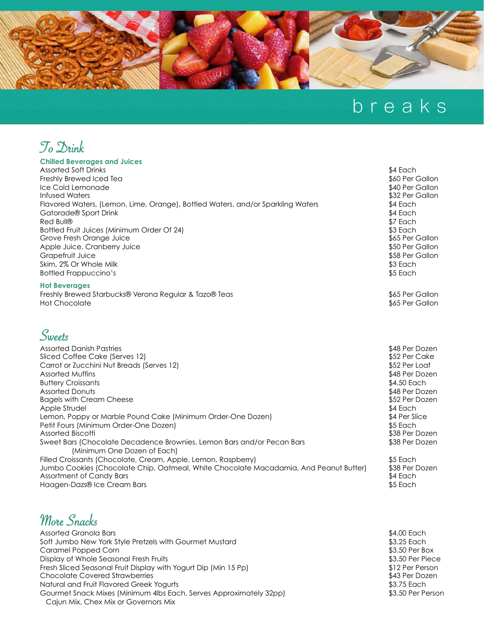

## breaks



#### **Chilled Beverages and Juices**

| <b>Assorted Soft Drinks</b><br>Freshly Brewed Iced Tea<br>Ice Cold Lemonade<br><b>Infused Waters</b><br>Flavored Waters, (Lemon, Lime, Orange), Bottled Waters, and/or Sparkling Waters<br>Gatorade® Sport Drink<br>Red Bull®<br>Bottled Fruit Juices (Minimum Order Of 24)<br>Grove Fresh Orange Juice<br>Apple Juice, Cranberry Juice<br>Grapefruit Juice<br>Skim, 2% Or Whole Milk<br><b>Bottled Frappuccino's</b>                                                                             | \$4 Each<br>\$60 Per Gallon<br>\$40 Per Gallon<br>\$32 Per Gallon<br>\$4 Each<br>\$4 Each<br>\$7 Each<br>\$3 Each<br>\$65 Per Gallon<br>\$50 Per Gallon<br>\$58 Per Gallon<br>\$3 Each<br>\$5 Each |
|---------------------------------------------------------------------------------------------------------------------------------------------------------------------------------------------------------------------------------------------------------------------------------------------------------------------------------------------------------------------------------------------------------------------------------------------------------------------------------------------------|----------------------------------------------------------------------------------------------------------------------------------------------------------------------------------------------------|
| <b>Hot Beverages</b><br>Freshly Brewed Starbucks® Verona Regular & Tazo® Teas<br><b>Hot Chocolate</b>                                                                                                                                                                                                                                                                                                                                                                                             | \$65 Per Gallon<br>\$65 Per Gallon                                                                                                                                                                 |
| Sweets                                                                                                                                                                                                                                                                                                                                                                                                                                                                                            |                                                                                                                                                                                                    |
| <b>Assorted Danish Pastries</b><br>Sliced Coffee Cake (Serves 12)<br>Carrot or Zucchini Nut Breads (Serves 12)<br><b>Assorted Muffins</b><br><b>Buttery Croissants</b><br><b>Assorted Donuts</b><br><b>Bagels with Cream Cheese</b><br>Apple Strudel<br>Lemon, Poppy or Marble Pound Cake (Minimum Order-One Dozen)<br>Petit Fours (Minimum Order-One Dozen)<br><b>Assorted Biscotti</b><br>Sweet Bars (Chocolate Decadence Brownies, Lemon Bars and/or Pecan Bars<br>(Minimum One Dozen of Each) | \$48 Per Dozen<br>\$52 Per Cake<br>\$52 Per Loaf<br>\$48 Per Dozen<br>\$4.50 Each<br>\$48 Per Dozen<br>\$52 Per Dozen<br>\$4 Each<br>\$4 Per Slice<br>\$5 Each<br>\$38 Per Dozen<br>\$38 Per Dozen |
| Filled Croissants (Chocolate, Cream, Apple, Lemon, Raspberry)<br>Jumbo Cookies (Chocolate Chip, Oatmeal, White Chocolate Macadamia, And Peanut Butter)<br><b>Assortment of Candy Bars</b><br>Haagen-Dazs® Ice Cream Bars                                                                                                                                                                                                                                                                          | \$5 Each<br>\$38 Per Dozen<br>\$4 Each<br>\$5 Each                                                                                                                                                 |

More Snacks

| Assorted Granola Bars                                              | \$4.00 Each       |
|--------------------------------------------------------------------|-------------------|
| Soft Jumbo New York Style Pretzels with Gourmet Mustard            | \$3.25 Each       |
| Caramel Popped Corn                                                | \$3.50 Per Box    |
| Display of Whole Seasonal Fresh Fruits                             | \$3.50 Per Piece  |
| Fresh Sliced Seasonal Fruit Display with Yogurt Dip (Min 15 Pp)    | \$12 Per Person   |
| <b>Chocolate Covered Strawberries</b>                              | \$43 Per Dozen    |
| Natural and Fruit Flavored Greek Yogurts                           | \$3.75 Each       |
| Gourmet Snack Mixes (Minimum 4lbs Each, Serves Approximately 32pp) | \$3.50 Per Person |
| Cajun Mix, Chex Mix or Governors Mix                               |                   |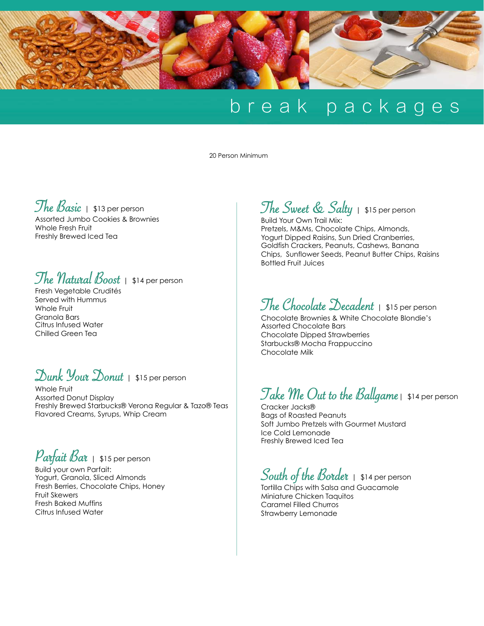

### break packages

20 Person Minimum

#### The Basic | \$13 per person

Assorted Jumbo Cookies & Brownies Whole Fresh Fruit Freshly Brewed Iced Tea

#### The *Natural Boost* | \$14 per person

Fresh Vegetable Crudités Served with Hummus Whole Fruit Granola Bars Citrus Infused Water Chilled Green Tea

#### Dunk Your Donut | \$15 per person

Whole Fruit Assorted Donut Display Freshly Brewed Starbucks® Verona Regular & Tazo® Teas Flavored Creams, Syrups, Whip Cream

#### $\mathit{Par}$ fait  $\mathit{Bar}$  | \$15 per person

Build your own Parfait: Yogurt, Granola, Sliced Almonds Fresh Berries, Chocolate Chips, Honey Fruit Skewers Fresh Baked Muffins Citrus Infused Water

#### The Sweet & Salty | \$15 per person

Build Your Own Trail Mix: Pretzels, M&Ms, Chocolate Chips, Almonds, Yogurt Dipped Raisins, Sun Dried Cranberries, Goldfish Crackers, Peanuts, Cashews, Banana Chips, Sunflower Seeds, Peanut Butter Chips, Raisins Bottled Fruit Juices

#### The Chocolate Decadent | \$15 per person

Chocolate Brownies & White Chocolate Blondie's Assorted Chocolate Bars Chocolate Dipped Strawberries Starbucks® Mocha Frappuccino Chocolate Milk

#### Take  $\mathcal M$ e Out to the Ballgame  $|$  \$14 per person

Cracker Jacks® Bags of Roasted Peanuts Soft Jumbo Pretzels with Gourmet Mustard Ice Cold Lemonade Freshly Brewed Iced Tea

#### South of the Border | \$14 per person

Tortilla Chips with Salsa and Guacamole Miniature Chicken Taquitos Caramel Filled Churros Strawberry Lemonade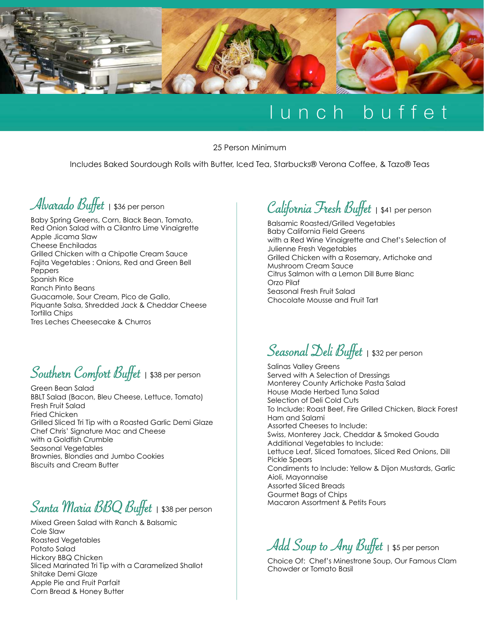

### lunch buffet

25 Person Minimum

Includes Baked Sourdough Rolls with Butter, Iced Tea, Starbucks® Verona Coffee, & Tazo® Teas



Baby Spring Greens, Corn, Black Bean, Tomato, Red Onion Salad with a Cilantro Lime Vinaigrette Apple Jicama Slaw Cheese Enchiladas Grilled Chicken with a Chipotle Cream Sauce Fajita Vegetables : Onions, Red and Green Bell **Peppers** Spanish Rice Ranch Pinto Beans Guacamole, Sour Cream, Pico de Gallo, Piquante Salsa, Shredded Jack & Cheddar Cheese Tortilla Chips Tres Leches Cheesecake & Churros

Southern Comfort Buffet **|** \$38 per person

Green Bean Salad BBLT Salad (Bacon, Bleu Cheese, Lettuce, Tomato) Fresh Fruit Salad Fried Chicken Grilled Sliced Tri Tip with a Roasted Garlic Demi Glaze Chef Chris' Signature Mac and Cheese with a Goldfish Crumble Seasonal Vegetables Brownies, Blondies and Jumbo Cookies Biscuits and Cream Butter

Santa Maria BBQ Buffet **|** \$38 per person

Mixed Green Salad with Ranch & Balsamic Cole Slaw Roasted Vegetables Potato Salad Hickory BBQ Chicken Sliced Marinated Tri Tip with a Caramelized Shallot Shitake Demi Glaze Apple Pie and Fruit Parfait Corn Bread & Honey Butter

#### California Fresh Buffet **|** \$41 per person

Balsamic Roasted/Grilled Vegetables Baby California Field Greens with a Red Wine Vinaigrette and Chef's Selection of Julienne Fresh Vegetables Grilled Chicken with a Rosemary, Artichoke and Mushroom Cream Sauce Citrus Salmon with a Lemon Dill Burre Blanc Orzo Pilaf Seasonal Fresh Fruit Salad Chocolate Mousse and Fruit Tart

Seasonal Deli Buffet **|** \$32 per person

Salinas Valley Greens Served with A Selection of Dressings Monterey County Artichoke Pasta Salad House Made Herbed Tuna Salad Selection of Deli Cold Cuts To Include: Roast Beef, Fire Grilled Chicken, Black Forest Ham and Salami Assorted Cheeses to Include: Swiss, Monterey Jack, Cheddar & Smoked Gouda Additional Vegetables to Include: Lettuce Leaf, Sliced Tomatoes, Sliced Red Onions, Dill Pickle Spears Condiments to Include: Yellow & Dijon Mustards, Garlic Aioli, Mayonnaise Assorted Sliced Breads Gourmet Bags of Chips Macaron Assortment & Petits Fours

Add Soup to Any Buffet | \$5 per person

Choice Of: Chef's Minestrone Soup, Our Famous Clam Chowder or Tomato Basil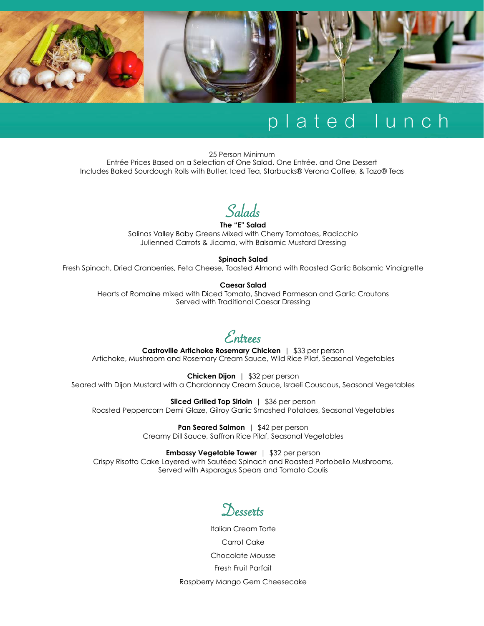

#### plated lunch

25 Person Minimum Entrée Prices Based on a Selection of One Salad, One Entrée, and One Dessert Includes Baked Sourdough Rolls with Butter, Iced Tea, Starbucks® Verona Coffee, & Tazo® Teas



**The "E" Salad**  Salinas Valley Baby Greens Mixed with Cherry Tomatoes, Radicchio Julienned Carrots & Jicama, with Balsamic Mustard Dressing

**Spinach Salad** 

Fresh Spinach, Dried Cranberries, Feta Cheese, Toasted Almond with Roasted Garlic Balsamic Vinaigrette

#### **Caesar Salad**

Hearts of Romaine mixed with Diced Tomato, Shaved Parmesan and Garlic Croutons Served with Traditional Caesar Dressing

Entrees **Castroville Artichoke Rosemary Chicken** | \$33 per person Artichoke, Mushroom and Rosemary Cream Sauce, Wild Rice Pilaf, Seasonal Vegetables

**Chicken Dijon** | \$32 per person Seared with Dijon Mustard with a Chardonnay Cream Sauce, Israeli Couscous, Seasonal Vegetables

**Sliced Grilled Top Sirloin** | \$36 per person Roasted Peppercorn Demi Glaze, Gilroy Garlic Smashed Potatoes, Seasonal Vegetables

> **Pan Seared Salmon** | \$42 per person Creamy Dill Sauce, Saffron Rice Pilaf, Seasonal Vegetables

**Embassy Vegetable Tower** | \$32 per person Crispy Risotto Cake Layered with Sautéed Spinach and Roasted Portobello Mushrooms, Served with Asparagus Spears and Tomato Coulis

Desserts

Italian Cream Torte Carrot Cake Chocolate Mousse Fresh Fruit Parfait Raspberry Mango Gem Cheesecake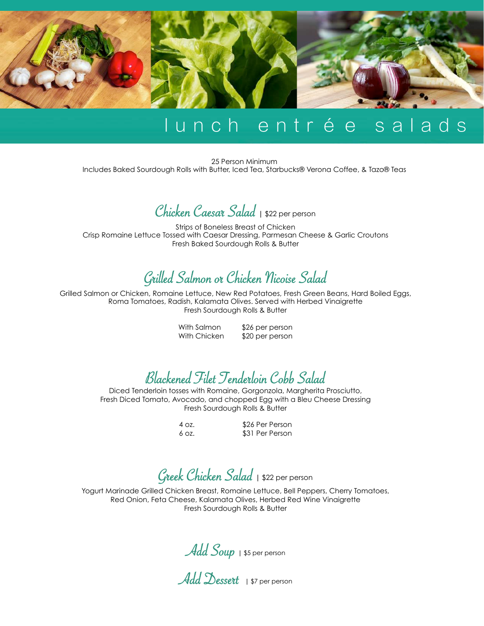

### lunch entrée salads

25 Person Minimum Includes Baked Sourdough Rolls with Butter, Iced Tea, Starbucks® Verona Coffee, & Tazo® Teas

Chicken Caesar Salad **|** \$22 per person

Strips of Boneless Breast of Chicken Crisp Romaine Lettuce Tossed with Caesar Dressing, Parmesan Cheese & Garlic Croutons Fresh Baked Sourdough Rolls & Butter

#### Grilled Salmon or Chicken Nicoise Salad

Grilled Salmon or Chicken, Romaine Lettuce, New Red Potatoes, Fresh Green Beans, Hard Boiled Eggs, Roma Tomatoes, Radish, Kalamata Olives. Served with Herbed Vinaigrette Fresh Sourdough Rolls & Butter

> With Salmon \$26 per person With Chicken \$20 per person

Blackened Filet Tenderloin Cobb Salad Diced Tenderloin tosses with Romaine, Gorgonzola, Margherita Prosciutto,

Fresh Diced Tomato, Avocado, and chopped Egg with a Bleu Cheese Dressing Fresh Sourdough Rolls & Butter

4 oz. \$26 Per Person 6 oz. \$31 Per Person

Greek Chicken Salad **|** \$22 per person

Yogurt Marinade Grilled Chicken Breast, Romaine Lettuce, Bell Peppers, Cherry Tomatoes, Red Onion, Feta Cheese, Kalamata Olives, Herbed Red Wine Vinaigrette Fresh Sourdough Rolls & Butter

Add Soup | \$5 per person

Add Dessert **| \$7** per person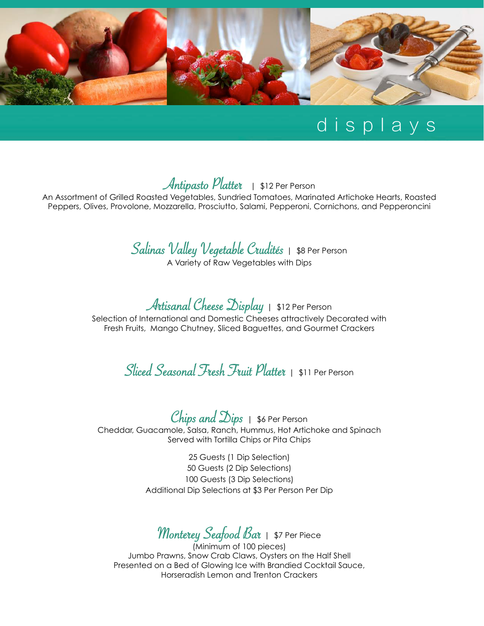

### displays

#### Antipasto Platter | \$12 Per Person

An Assortment of Grilled Roasted Vegetables, Sundried Tomatoes, Marinated Artichoke Hearts, Roasted Peppers, Olives, Provolone, Mozzarella, Prosciutto, Salami, Pepperoni, Cornichons, and Pepperoncini

#### Salinas Valley Vegetable Crudités | \$8 Per Person A Variety of Raw Vegetables with Dips

Artisanal Cheese Display | \$12 Per Person

Selection of International and Domestic Cheeses attractively Decorated with Fresh Fruits, Mango Chutney, Sliced Baguettes, and Gourmet Crackers

Sliced Seasonal Fresh Fruit Platter | \$11 Per Person

Chips and  $\Delta$ ips | \$6 Per Person Cheddar, Guacamole, Salsa, Ranch, Hummus, Hot Artichoke and Spinach Served with Tortilla Chips or Pita Chips

> 25 Guests (1 Dip Selection) 50 Guests (2 Dip Selections) 100 Guests (3 Dip Selections) Additional Dip Selections at \$3 Per Person Per Dip

Monterey Seafood Bar | \$7 Per Piece

(Minimum of 100 pieces) Jumbo Prawns, Snow Crab Claws, Oysters on the Half Shell Presented on a Bed of Glowing Ice with Brandied Cocktail Sauce, Horseradish Lemon and Trenton Crackers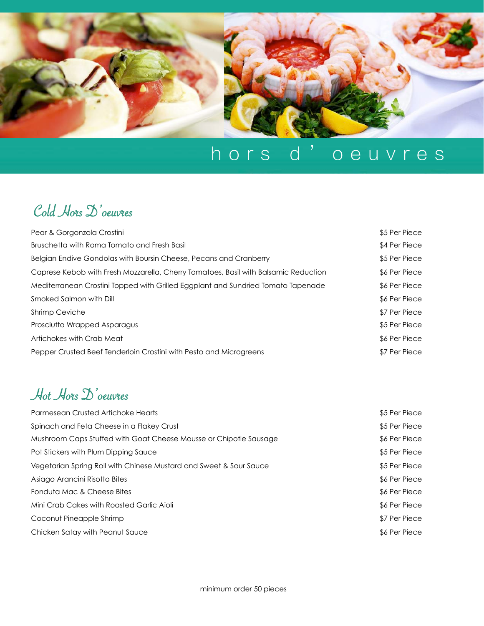

## hors d'oeuvres

#### Cold Hors D'oeuvres

| Pear & Gorgonzola Crostini                                                          | \$5 Per Piece |
|-------------------------------------------------------------------------------------|---------------|
| Bruschetta with Roma Tomato and Fresh Basil                                         | \$4 Per Piece |
| Belgian Endive Gondolas with Boursin Cheese, Pecans and Cranberry                   | \$5 Per Piece |
| Caprese Kebob with Fresh Mozzarella, Cherry Tomatoes, Basil with Balsamic Reduction | \$6 Per Piece |
| Mediterranean Crostini Topped with Grilled Eggplant and Sundried Tomato Tapenade    | \$6 Per Piece |
| Smoked Salmon with Dill                                                             | \$6 Per Piece |
| <b>Shrimp Ceviche</b>                                                               | \$7 Per Piece |
| Prosciutto Wrapped Asparagus                                                        | \$5 Per Piece |
| Artichokes with Crab Meat                                                           | \$6 Per Piece |
| Pepper Crusted Beef Tenderloin Crostini with Pesto and Microgreens                  | \$7 Per Piece |

#### Hot Hors D'oeuvres

| Parmesean Crusted Artichoke Hearts                                 | \$5 Per Piece |
|--------------------------------------------------------------------|---------------|
| Spinach and Feta Cheese in a Flakey Crust                          | \$5 Per Piece |
| Mushroom Caps Stuffed with Goat Cheese Mousse or Chipotle Sausage  | \$6 Per Piece |
| Pot Stickers with Plum Dipping Sauce                               | \$5 Per Piece |
| Vegetarian Spring Roll with Chinese Mustard and Sweet & Sour Sauce | \$5 Per Piece |
| Asiago Arancini Risotto Bites                                      | \$6 Per Piece |
| Fonduta Mac & Cheese Bites                                         | \$6 Per Piece |
| Mini Crab Cakes with Roasted Garlic Aioli                          | \$6 Per Piece |
| Coconut Pineapple Shrimp                                           | \$7 Per Piece |
| Chicken Satay with Peanut Sauce                                    | \$6 Per Piece |
|                                                                    |               |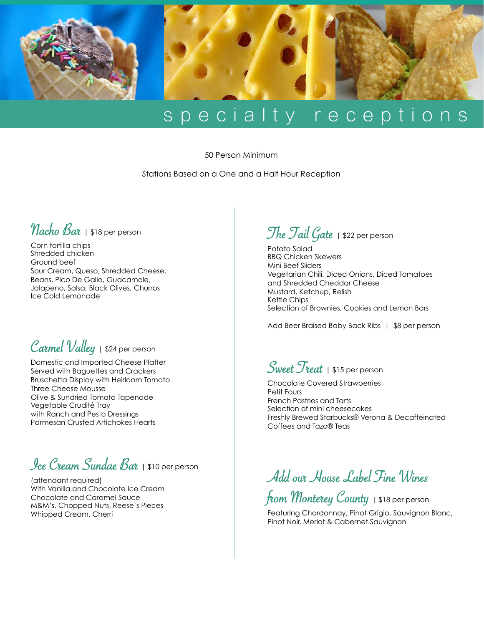

### specialty receptions

50 Person Minimum

Stations Based on a One and a Half Hour Reception

#### Nacho Bar **|** \$18 per person

Corn tortilla chips Shredded chicken Ground beef Sour Cream, Queso, Shredded Cheese, Beans, Pico De Gallo, Guacamole, Jalapeno, Salsa, Black Olives, Churros Ice Cold Lemonade

#### Carmel Valley **|** \$24 per person

Domestic and Imported Cheese Platter Served with Baguettes and Crackers Bruschetta Display with Heirloom Tomato Three Cheese Mousse Olive & Sundried Tomato Tapenade Vegetable Crudité Tray with Ranch and Pesto Dressings Parmesan Crusted Artichokes Hearts

#### Ice Cream Sundae Bar **|** \$10 per person

(attendant required) With Vanilla and Chocolate Ice Cream Chocolate and Caramel Sauce M&M's, Chopped Nuts, Reese's Pieces Whipped Cream, Cherri

#### The Tail Gate **|** \$22 per person

Potato Salad BBQ Chicken Skewers Mini Beef Sliders Vegetarian Chili, Diced Onions, Diced Tomatoes and Shredded Cheddar Cheese Mustard, Ketchup, Relish Kettle Chips Selection of Brownies, Cookies and Lemon Bars

Add Beer Braised Baby Back Ribs | \$8 per person

Sweet Treat **|** \$15 per person

Chocolate Covered Strawberries Petit Fours French Pastries and Tarts Selection of mini cheesecakes Freshly Brewed Starbucks® Verona & Decaffeinated Coffees and Tazo® Teas

Add our House Label Fine Wines

from Monterey County **|** \$18 per person

Featuring Chardonnay, Pinot Grigio, Sauvignon Blanc, Pinot Noir, Merlot & Cabernet Sauvignon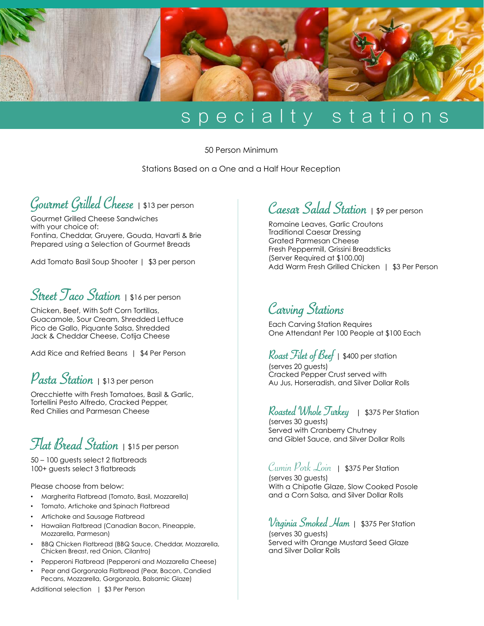

### specialty stations

50 Person Minimum

Stations Based on a One and a Half Hour Reception



Gourmet Grilled Cheese Sandwiches with your choice of: Fontina, Cheddar, Gruyere, Gouda, Havarti & Brie Prepared using a Selection of Gourmet Breads

Add Tomato Basil Soup Shooter | \$3 per person

#### Street Taco Station **|** \$16 per person

Chicken, Beef, With Soft Corn Tortillas, Guacamole, Sour Cream, Shredded Lettuce Pico de Gallo, Piquante Salsa, Shredded Jack & Cheddar Cheese, Cotija Cheese

Add Rice and Refried Beans | \$4 Per Person

#### Pasta Station **|** \$13 per person

Orecchiette with Fresh Tomatoes, Basil & Garlic, Tortellini Pesto Alfredo, Cracked Pepper, Red Chilies and Parmesan Cheese

#### Flat Bread Station **|** \$15 per person

50 – 100 guests select 2 flatbreads 100+ guests select 3 flatbreads

Please choose from below:

- Margherita Flatbread (Tomato, Basil, Mozzarella)
- Tomato, Artichoke and Spinach Flatbread
- Artichoke and Sausage Flatbread
- Hawaiian Flatbread (Canadian Bacon, Pineapple, Mozzarella, Parmesan)
- BBQ Chicken Flatbread (BBQ Sauce, Cheddar, Mozzarella, Chicken Breast, red Onion, Cilantro)
- Pepperoni Flatbread (Pepperoni and Mozzarella Cheese)
- Pear and Gorgonzola Flatbread (Pear, Bacon, Candied Pecans, Mozzarella, Gorgonzola, Balsamic Glaze)

Additional selection | \$3 Per Person

Caesar Salad Station **|** \$9 per person

Romaine Leaves, Garlic Croutons Traditional Caesar Dressing Grated Parmesan Cheese Fresh Peppermill, Grissini Breadsticks (Server Required at \$100.00) Add Warm Fresh Grilled Chicken | \$3 Per Person

#### Carving Stations

Each Carving Station Requires One Attendant Per 100 People at \$100 Each

Roast Filet of Beef | \$400 per station (serves 20 guests) Cracked Pepper Crust served with Au Jus, Horseradish, and Silver Dollar Rolls

#### Roasted Whole Turkey | \$375 Per Station

(serves 30 quests) Served with Cranberry Chutney and Giblet Sauce, and Silver Dollar Rolls

Cumin Pork  $\mathcal{L}$ oin | \$375 Per Station (serves 30 guests) With a Chipotle Glaze, Slow Cooked Posole

and a Corn Salsa, and Silver Dollar Rolls

#### Virginia Smoked Ham | \$375 Per Station

(serves 30 guests) Served with Orange Mustard Seed Glaze and Silver Dollar Rolls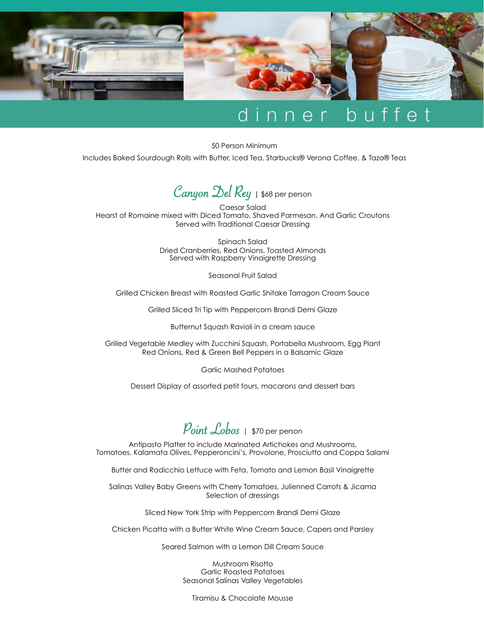

### nner buffet

50 Person Minimum

Includes Baked Sourdough Rolls with Butter, Iced Tea, Starbucks® Verona Coffee, & Tazo® Teas



Caesar Salad Hearst of Romaine mixed with Diced Tomato, Shaved Parmesan, And Garlic Croutons Served with Traditional Caesar Dressing

> Spinach Salad Dried Cranberries, Red Onions, Toasted Almonds Served with Raspberry Vinaigrette Dressing

> > Seasonal Fruit Salad

Grilled Chicken Breast with Roasted Garlic Shitake Tarragon Cream Sauce

Grilled Sliced Tri Tip with Peppercorn Brandi Demi Glaze

Butternut Squash Ravioli in a cream sauce

Grilled Vegetable Medley with Zucchini Squash, Portabella Mushroom, Egg Plant Red Onions, Red & Green Bell Peppers in a Balsamic Glaze

Garlic Mashed Potatoes

Dessert Display of assorted petit fours, macarons and dessert bars

Point Lobos | \$70 per person

Antipasto Platter to include Marinated Artichokes and Mushrooms, Tomatoes, Kalamata Olives, Pepperoncini's, Provolone, Prosciutto and Coppa Salami

Butter and Radicchio Lettuce with Feta, Tomato and Lemon Basil Vinaigrette

Salinas Valley Baby Greens with Cherry Tomatoes, Julienned Carrots & Jicama Selection of dressings

Sliced New York Strip with Peppercorn Brandi Demi Glaze

Chicken Picatta with a Butter White Wine Cream Sauce, Capers and Parsley

Seared Salmon with a Lemon Dill Cream Sauce

Mushroom Risotto Garlic Roasted Potatoes Seasonal Salinas Valley Vegetables

Tiramisu & Chocolate Mousse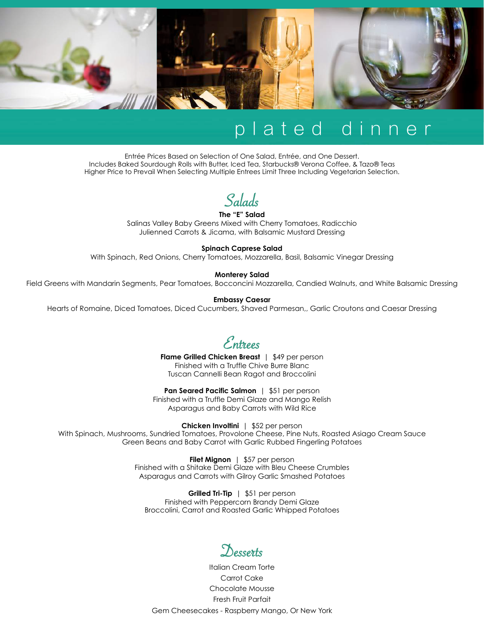

### plated dinner

Entrée Prices Based on Selection of One Salad, Entrée, and One Dessert. Includes Baked Sourdough Rolls with Butter, Iced Tea, Starbucks® Verona Coffee, & Tazo® Teas Higher Price to Prevail When Selecting Multiple Entrees Limit Three Including Vegetarian Selection.

Salads

**The "E" Salad**  Salinas Valley Baby Greens Mixed with Cherry Tomatoes, Radicchio Julienned Carrots & Jicama, with Balsamic Mustard Dressing

#### **Spinach Caprese Salad**

With Spinach, Red Onions, Cherry Tomatoes, Mozzarella, Basil, Balsamic Vinegar Dressing

#### **Monterey Salad**

Field Greens with Mandarin Segments, Pear Tomatoes, Bocconcini Mozzarella, Candied Walnuts, and White Balsamic Dressing

#### **Embassy Caesar**

Hearts of Romaine, Diced Tomatoes, Diced Cucumbers, Shaved Parmesan,, Garlic Croutons and Caesar Dressing

Entrees **Flame Grilled Chicken Breast** | \$49 per person Finished with a Truffle Chive Burre Blanc Tuscan Cannelli Bean Ragot and Broccolini

**Pan Seared Pacific Salmon** | \$51 per person Finished with a Truffle Demi Glaze and Mango Relish Asparagus and Baby Carrots with Wild Rice

**Chicken Involtini** | \$52 per person

With Spinach, Mushrooms, Sundried Tomatoes, Provolone Cheese, Pine Nuts, Roasted Asiago Cream Sauce Green Beans and Baby Carrot with Garlic Rubbed Fingerling Potatoes

> **Filet Mignon** | \$57 per person Finished with a Shitake Demi Glaze with Bleu Cheese Crumbles Asparagus and Carrots with Gilroy Garlic Smashed Potatoes

**Grilled Tri-Tip** | \$51 per person Finished with Peppercorn Brandy Demi Glaze Broccolini, Carrot and Roasted Garlic Whipped Potatoes

DessertsItalian Cream Torte

Carrot Cake Chocolate Mousse Fresh Fruit Parfait Gem Cheesecakes - Raspberry Mango, Or New York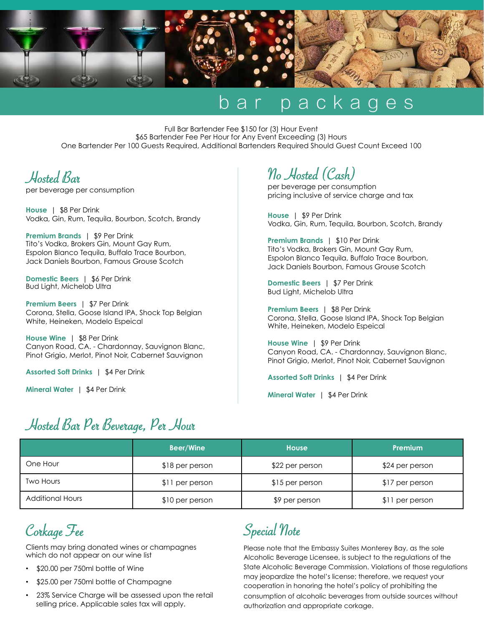

### bar packages

Full Bar Bartender Fee \$150 for (3) Hour Event \$65 Bartender Fee Per Hour for Any Event Exceeding (3) Hours One Bartender Per 100 Guests Required, Additional Bartenders Required Should Guest Count Exceed 100

Hosted Bar

per beverage per consumption

**House** | \$8 Per Drink Vodka, Gin, Rum, Tequila, Bourbon, Scotch, Brandy

**Premium Brands** | \$9 Per Drink Tito's Vodka, Brokers Gin, Mount Gay Rum, Espolon Blanco Tequila, Buffalo Trace Bourbon, Jack Daniels Bourbon, Famous Grouse Scotch

**Domestic Beers** | \$6 Per Drink Bud Light, Michelob Ultra

**Premium Beers** | \$7 Per Drink Corona, Stella, Goose Island IPA, Shock Top Belgian White, Heineken, Modelo Espeical

**House Wine** | \$8 Per Drink Canyon Road, CA. - Chardonnay, Sauvignon Blanc, Pinot Grigio, Merlot, Pinot Noir, Cabernet Sauvignon

**Assorted Soft Drinks** | \$4 Per Drink

**Mineral Water** | \$4 Per Drink

No Hosted (Cash)

per beverage per consumption pricing inclusive of service charge and tax

**House** | \$9 Per Drink Vodka, Gin, Rum, Tequila, Bourbon, Scotch, Brandy

**Premium Brands** | \$10 Per Drink Tito's Vodka, Brokers Gin, Mount Gay Rum, Espolon Blanco Tequila, Buffalo Trace Bourbon, Jack Daniels Bourbon, Famous Grouse Scotch

**Domestic Beers** | \$7 Per Drink Bud Light, Michelob Ultra

**Premium Beers** | \$8 Per Drink Corona, Stella, Goose Island IPA, Shock Top Belgian White, Heineken, Modelo Espeical

**House Wine** | \$9 Per Drink Canyon Road, CA. - Chardonnay, Sauvignon Blanc, Pinot Grigio, Merlot, Pinot Noir, Cabernet Sauvignon

**Assorted Soft Drinks** | \$4 Per Drink

**Mineral Water** | \$4 Per Drink

#### Hosted Bar Per Beverage, Per Hour

|                         | <b>Beer/Wine</b> | <b>House</b>    | <b>Premium</b>  |
|-------------------------|------------------|-----------------|-----------------|
| One Hour                | $$18$ per person | \$22 per person | \$24 per person |
| <b>Two Hours</b>        | \$11 per person  | \$15 per person | \$17 per person |
| <b>Additional Hours</b> | \$10 per person  | \$9 per person  | \$11 per person |

Corkage Fee

 Clients may bring donated wines or champagnes which do not appear on our wine list

- \$20.00 per 750ml bottle of Wine
- \$25.00 per 750ml bottle of Champagne
- 23% Service Charge will be assessed upon the retail selling price. Applicable sales tax will apply.

Special Note

Please note that the Embassy Suites Monterey Bay, as the sole Alcoholic Beverage Licensee, is subject to the regulations of the State Alcoholic Beverage Commission. Violations of those regulations may jeopardize the hotel's license; therefore, we request your cooperation in honoring the hotel's policy of prohibiting the consumption of alcoholic beverages from outside sources without authorization and appropriate corkage.